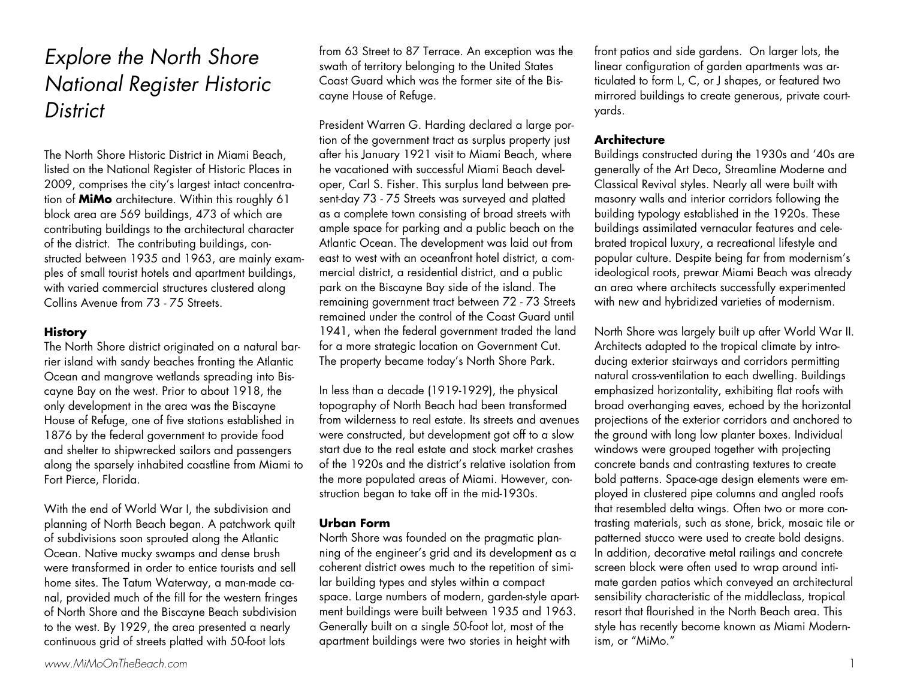## Explore the North Shore National Register Historic **District**

The North Shore Historic District in Miami Beach, listed on the National Register of Historic Places in 2009, comprises the city's largest intact concentration of **MiMo** architecture. Within this roughly 61 block area are 569 buildings, 473 of which are contributing buildings to the architectural character of the district. The contributing buildings, constructed between 1935 and 1963, are mainly exam<sup>p</sup>les of small tourist hotels and apartment buildings, with varied commercial structures clustered along Collins Avenue from 73 - 75 Streets.

## **History**

The North Shore district originated on a natural barrier island with sandy beaches fronting the Atlantic Ocean and mangrove wetlands spreading into Biscayne Bay on the west. Prior to about 1918, the only development in the area was the Biscayne House of Refuge, one of five stations established in 1876 by the federal government to provide food and shelter to shipwrecked sailors and passengers along the sparsely inhabited coastline from Miami to Fort Pierce, Florida.

With the end of World War I, the subdivision and <sup>p</sup>lanning of North Beach began. A patchwork quilt of subdivisions soon sprouted along the Atlantic Ocean. Native mucky swamps and dense brush were transformed in order to entice tourists and sell home sites. The Tatum Waterway, a man-made canal, provided much of the fill for the western fringes of North Shore and the Biscayne Beach subdivision to the west. By 1929, the area presented a nearly continuous grid of streets platted with 50-foot lots

from 63 Street to 87 Terrace. An exception was the swath of territory belonging to the United States Coast Guard which was the former site of the Biscayne House of Refuge.

President Warren G. Harding declared a large portion of the government tract as surplus property just after his January 1921 visit to Miami Beach, where he vacationed with successful Miami Beach developer, Carl S. Fisher. This surplus land between present-day 73 - 75 Streets was surveyed and platted as a complete town consisting of broad streets with ample space for parking and a public beach on the Atlantic Ocean. The development was laid out from east to west with an oceanfront hotel district, a commercial district, a residential district, and a public park on the Biscayne Bay side of the island. The remaining government tract between 72 - 73 Streets remained under the control of the Coast Guard until 1941, when the federal government traded the land for a more strategic location on Government Cut. The property became today's North Shore Park.

In less than a decade (1919-1929), the physical topography of North Beach had been transformed from wilderness to real estate. Its streets and avenues were constructed, but development got off to a slow start due to the real estate and stock market crashes of the 1920s and the district's relative isolation from the more populated areas of Miami. However, construction began to take off in the mid-1930s.

## **Urban Form**

North Shore was founded on the pragmatic planning of the engineer's grid and its development as a coherent district owes much to the repetition of similar building types and styles within a compact space. Large numbers of modern, garden-style apartment buildings were built between 1935 and 1963. Generally built on a single 50-foot lot, most of the apartment buildings were two stories in height with

front patios and side gardens. On larger lots, the linear configuration of garden apartments was articulated to form L, C, or J shapes, or featured two mirrored buildings to create generous, private courtyards.

## **Architecture**

Buildings constructed during the 1930s and '40s are generally of the Art Deco, Streamline Moderne and Classical Revival styles. Nearly all were built with masonry walls and interior corridors following the building typology established in the 1920s. These buildings assimilated vernacular features and celebrated tropical luxury, a recreational lifestyle and popular culture. Despite being far from modernism's ideological roots, prewar Miami Beach was already an area where architects successfully experimented with new and hybridized varieties of modernism.

North Shore was largely built up after World War II. Architects adapted to the tropical climate by introducing exterior stairways and corridors permitting natural cross-ventilation to each dwelling. Buildings emphasized horizontality, exhibiting flat roofs with broad overhanging eaves, echoed by the horizontal projections of the exterior corridors and anchored to the ground with long low planter boxes. Individual windows were grouped together with projecting concrete bands and contrasting textures to create bold patterns. Space-age design elements were em<sup>p</sup>loyed in clustered pipe columns and angled roofs that resembled delta wings. Often two or more contrasting materials, such as stone, brick, mosaic tile or patterned stucco were used to create bold designs. In addition, decorative metal railings and concrete screen block were often used to wrap around intimate garden patios which conveyed an architectural sensibility characteristic of the middleclass, tropical resort that flourished in the North Beach area. This style has recently become known as Miami Modernism, or "MiMo."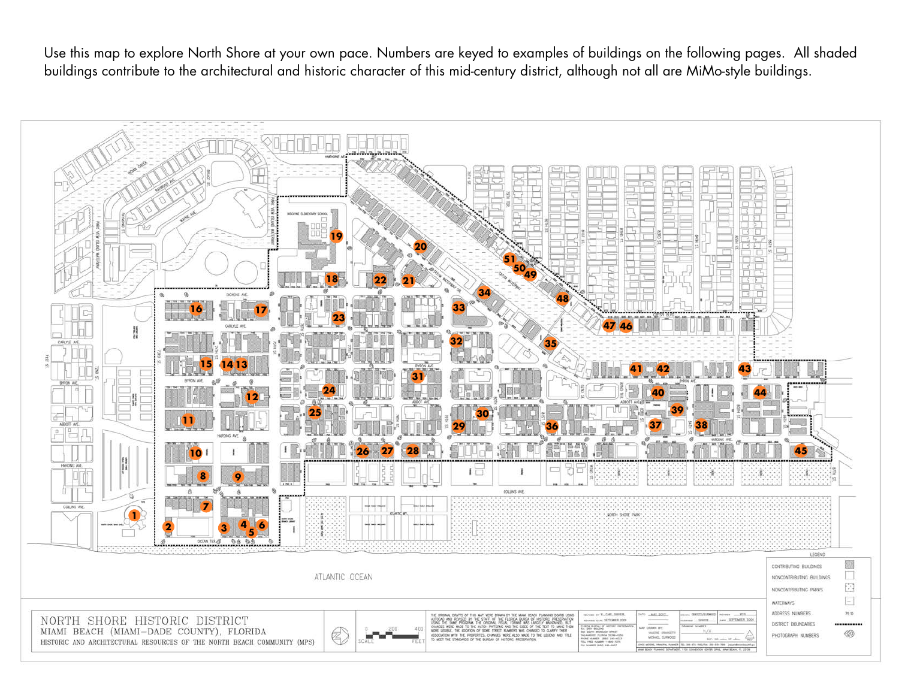Use this map to explore North Shore at your own pace. Numbers are keyed to examples of buildings on the following pages. All shaded buildings contribute to the architectural and historic character of this mid-century district, although not all are MiMo-style buildings.

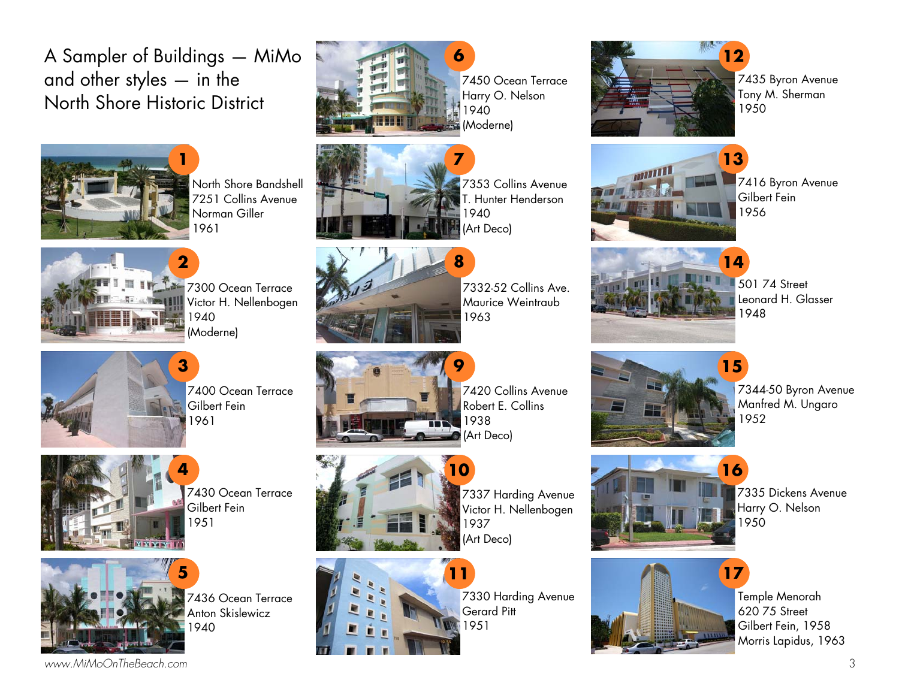A Sampler of Buildings — MiMo and other styles — in the North Shore Historic District



North Shore Bandshell 7251 Collins Avenue Norman Giller 1961



7300 Ocean Terrace Victor H. Nellenbogen 1940 (Moderne)



7400 Ocean Terrace Gilbert Fein 1961



7430 Ocean Terrace Gilbert Fein 1951



7436 Ocean Terrace Anton Skislewicz 1940



7450 Ocean Terrace Harry O. Nelson 1940 (Moderne)

**7** 

**8** 



7353 Collins Avenue T. Hunter Henderson 1940 (Art Deco)



7332-52 Collins Ave. Maurice Weintraub 1963



7420 Collins Avenue Robert E. Collins 1938 (Art Deco)



7337 Harding Avenue Victor H. Nellenbogen 1937 (Art Deco)



7330 Harding Avenue Gerard Pitt 1951



7435 Byron Avenue Tony M. Sherman 1950



7416 Byron Avenue Gilbert Fein 1956



501 74 Street Leonard H. Glasser 1948

**14** 



7344-50 Byron Avenue Manfred M. Ungaro 1952



7335 Dickens Avenue Harry O. Nelson 1950



Temple Menorah 620 75 Street Gilbert Fein, 1958 Morris Lapidus, 1963

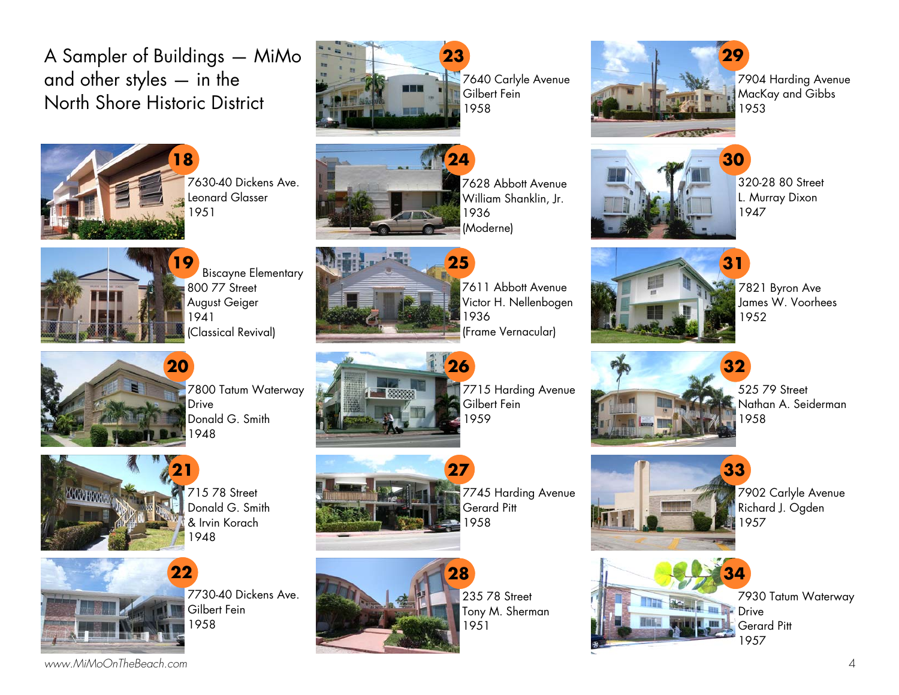A Sampler of Buildings — MiMo and other styles — in the North Shore Historic District



7630-40 Dickens Ave. Leonard Glasser 1951



7640 Carlyle Avenue Gilbert Fein 1958



7628 Abbott Avenue William Shanklin, Jr. 1936 (Moderne)



7904 Harding Avenue MacKay and Gibbs 1953



320-28 80 Street L. Murray Dixon 1947

**33** 



Biscayne Elementary 800 77 Street August Geiger 1941 (Classical Revival)

715 78 Street Donald G. Smith & Irvin Korach

Gilbert Fein 1958

7730-40 Dickens Ave.

1948

**22** 

**21** 

**20** 



7611 Abbott Avenue Victor H. Nellenbogen 1936 (Frame Vernacular)



7715 Harding Avenue Gilbert Fein 1959



7745 Harding Avenue Gerard Pitt 1958



235 78 Street Tony M. Sherman 1951



7821 Byron Ave James W. Voorhees 1952



525 79 Street Nathan A. Seiderman 1958



7902 Carlyle Avenue Richard J. Ogden 1957



7930 Tatum Waterway

YOOGHOOO